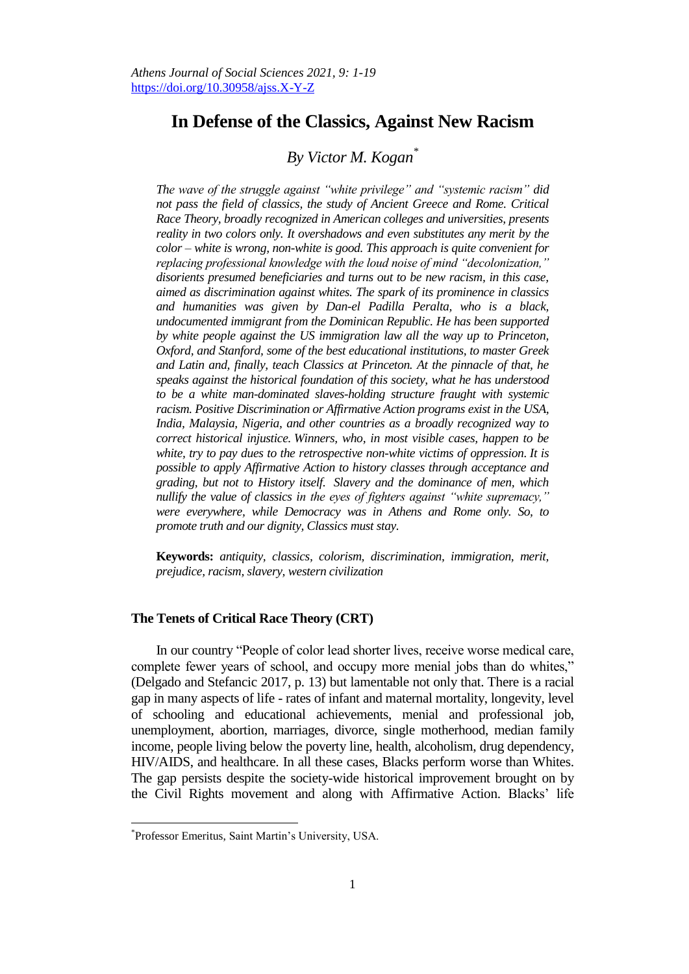# **In Defense of the Classics, Against New Racism**

# *By Victor M. Kogan\**

*The wave of the struggle against "white privilege" and "systemic racism" did not pass the field of classics, the study of Ancient Greece and Rome. Critical Race Theory, broadly recognized in American colleges and universities, presents reality in two colors only. It overshadows and even substitutes any merit by the color – white is wrong, non-white is good. This approach is quite convenient for replacing professional knowledge with the loud noise of mind "decolonization," disorients presumed beneficiaries and turns out to be new racism, in this case, aimed as discrimination against whites. The spark of its prominence in classics and humanities was given by Dan-el Padilla Peralta, who is a black, undocumented immigrant from the Dominican Republic. He has been supported by white people against the US immigration law all the way up to Princeton, Oxford, and Stanford, some of the best educational institutions, to master Greek and Latin and, finally, teach Classics at Princeton. At the pinnacle of that, he speaks against the historical foundation of this society, what he has understood to be a white man-dominated slaves-holding structure fraught with systemic racism. Positive Discrimination or Affirmative Action programs exist in the USA, India, Malaysia, Nigeria, and other countries as a broadly recognized way to correct historical injustice. Winners, who, in most visible cases, happen to be white, try to pay dues to the retrospective non-white victims of oppression. It is possible to apply Affirmative Action to history classes through acceptance and grading, but not to History itself. Slavery and the dominance of men, which nullify the value of classics in the eyes of fighters against "white supremacy," were everywhere, while Democracy was in Athens and Rome only. So, to promote truth and our dignity, Classics must stay.*

**Keywords:** *antiquity, classics, colorism, discrimination, immigration, merit, prejudice, racism, slavery, western civilization*

### **The Tenets of Critical Race Theory (CRT)**

In our country "People of color lead shorter lives, receive worse medical care, complete fewer years of school, and occupy more menial jobs than do whites," (Delgado and Stefancic 2017, p. 13) but lamentable not only that. There is a racial gap in many aspects of life - rates of infant and maternal mortality, longevity, level of schooling and educational achievements, menial and professional job, unemployment, abortion, marriages, divorce, single motherhood, median family income, people living below the poverty line, health, alcoholism, drug dependency, HIV/AIDS, and healthcare. In all these cases, Blacks perform worse than Whites. The gap persists despite the society-wide historical improvement brought on by the Civil Rights movement and along with Affirmative Action. Blacks' life

 $\overline{a}$ 

<sup>\*</sup> Professor Emeritus, Saint Martin's University, USA.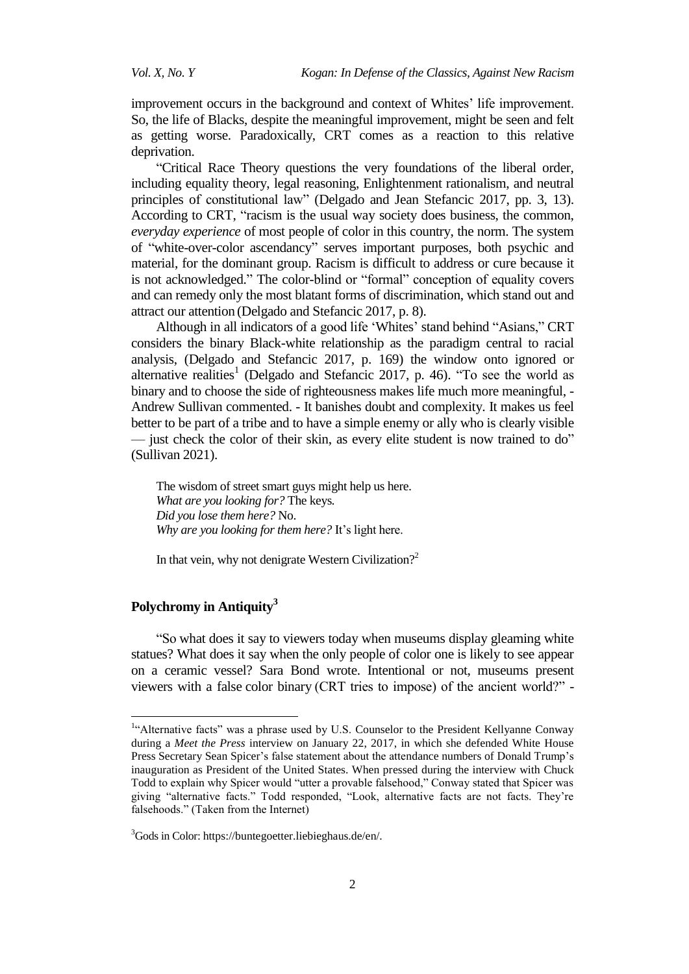improvement occurs in the background and context of Whites' life improvement. So, the life of Blacks, despite the meaningful improvement, might be seen and felt as getting worse. Paradoxically, CRT comes as a reaction to this relative deprivation.

―Critical Race Theory questions the very foundations of the liberal order, including equality theory, legal reasoning, Enlightenment rationalism, and neutral principles of constitutional law‖ (Delgado and Jean Stefancic 2017, pp. 3, 13). According to CRT, "racism is the usual way society does business, the common, *everyday experience* of most people of color in this country, the norm. The system of "white-over-color ascendancy" serves important purposes, both psychic and material, for the dominant group. Racism is difficult to address or cure because it is not acknowledged." The color-blind or "formal" conception of equality covers and can remedy only the most blatant forms of discrimination, which stand out and attract our attention (Delgado and Stefancic 2017, p. 8).

Although in all indicators of a good life 'Whites' stand behind "Asians," CRT considers the binary Black-white relationship as the paradigm central to racial analysis, (Delgado and Stefancic 2017, p. 169) the window onto ignored or alternative realities<sup>1</sup> (Delgado and Stefancic 2017, p. 46). "To see the world as binary and to choose the side of righteousness makes life much more meaningful, - Andrew Sullivan commented. - It banishes doubt and complexity. It makes us feel better to be part of a tribe and to have a simple enemy or ally who is clearly visible — just check the color of their skin, as every elite student is now trained to do" (Sullivan 2021).

The wisdom of street smart guys might help us here. *What are you looking for?* The keys*. Did you lose them here?* No. *Why are you looking for them here?* It's light here.

In that vein, why not denigrate Western Civilization?<sup>2</sup>

## **Polychromy in Antiquity<sup>3</sup>**

 $\overline{a}$ 

―So what does it say to viewers today when museums display gleaming white statues? What does it say when the only people of color one is likely to see appear on a ceramic vessel? Sara Bond wrote. Intentional or not, museums present viewers with a false color binary (CRT tries to impose) of the ancient world?" -

<sup>&</sup>lt;sup>1</sup>"Alternative facts" was a phrase used by U.S. [Counselor to the President](https://en.wikipedia.org/wiki/Counselor_to_the_President) [Kellyanne Conway](https://en.wikipedia.org/wiki/Kellyanne_Conway) during a *[Meet the Press](https://en.wikipedia.org/wiki/Meet_the_Press)* interview on January 22, 2017, in which she defended [White House](https://en.wikipedia.org/wiki/White_House_Press_Secretary)  [Press Secretary](https://en.wikipedia.org/wiki/White_House_Press_Secretary) [Sean Spicer'](https://en.wikipedia.org/wiki/Sean_Spicer)s false statement about the attendance numbers o[f Donald Trump's](https://en.wikipedia.org/wiki/Donald_Trump) [inauguration](https://en.wikipedia.org/wiki/Inauguration_of_Donald_Trump) as President of the United States. When pressed during the interview with [Chuck](https://en.wikipedia.org/wiki/Chuck_Todd)  [Todd](https://en.wikipedia.org/wiki/Chuck_Todd) to explain why Spicer would "utter a provable falsehood," Conway stated that Spicer was giving "alternative facts." Todd responded, "Look, alternative facts are not facts. They're falsehoods." (Taken from the Internet)

<sup>&</sup>lt;sup>3</sup>Gods in Color: https://buntegoetter.liebieghaus.de/en/.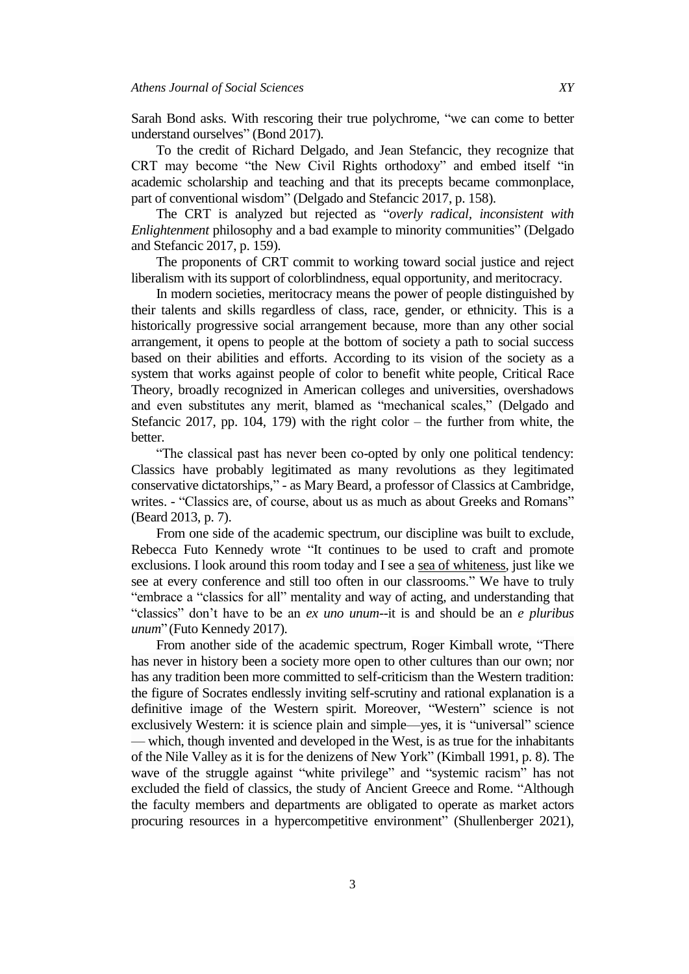Sarah Bond asks. With rescoring their true polychrome, "we can come to better understand ourselves" (Bond 2017).

To the credit of Richard Delgado, and Jean Stefancic, they recognize that CRT may become "the New Civil Rights orthodoxy" and embed itself "in academic scholarship and teaching and that its precepts became commonplace, part of conventional wisdom" (Delgado and Stefancic 2017, p. 158).

The CRT is analyzed but rejected as "overly radical, inconsistent with *Enlightenment* philosophy and a bad example to minority communities" (Delgado and Stefancic 2017, p. 159).

The proponents of CRT commit to working toward social justice and reject liberalism with its support of colorblindness, equal opportunity, and meritocracy.

In modern societies, meritocracy means the power of people distinguished by their talents and skills regardless of class, race, gender, or ethnicity. This is a historically progressive social arrangement because, more than any other social arrangement, it opens to people at the bottom of society a path to social success based on their abilities and efforts. According to its vision of the society as a system that works against people of color to benefit white people, Critical Race Theory, broadly recognized in American colleges and universities, overshadows and even substitutes any merit, blamed as "mechanical scales," (Delgado and Stefancic 2017, pp. 104, 179) with the right color – the further from white, the better.

―The classical past has never been co-opted by only one political tendency: Classics have probably legitimated as many revolutions as they legitimated conservative dictatorships," - as Mary Beard, a professor of Classics at Cambridge, writes. - "Classics are, of course, about us as much as about Greeks and Romans" (Beard 2013, p. 7).

From one side of the academic spectrum, our discipline was built to exclude, Rebecca Futo Kennedy wrote "It continues to be used to craft and promote exclusions. I look around this room today and I see a [sea of whiteness,](https://classicssocialjustice.wordpress.com/2017/09/05/classicssowhite/) just like we see at every conference and still too often in our classrooms." We have to truly "embrace a "classics for all" mentality and way of acting, and understanding that ―classics‖ don't have to be an *ex uno unum*--it is and should be an *e pluribus unum*" (Futo Kennedy 2017).

From another side of the academic spectrum, Roger Kimball wrote, "There has never in history been a society more open to other cultures than our own; nor has any tradition been more committed to self-criticism than the Western tradition: the figure of Socrates endlessly inviting self-scrutiny and rational explanation is a definitive image of the Western spirit. Moreover, "Western" science is not exclusively Western: it is science plain and simple—yes, it is "universal" science — which, though invented and developed in the West, is as true for the inhabitants of the Nile Valley as it is for the denizens of New York" (Kimball 1991, p. 8). The wave of the struggle against "white privilege" and "systemic racism" has not excluded the field of classics, the study of Ancient Greece and Rome. "Although the faculty members and departments are obligated to operate as market actors procuring resources in a hypercompetitive environment" (Shullenberger 2021),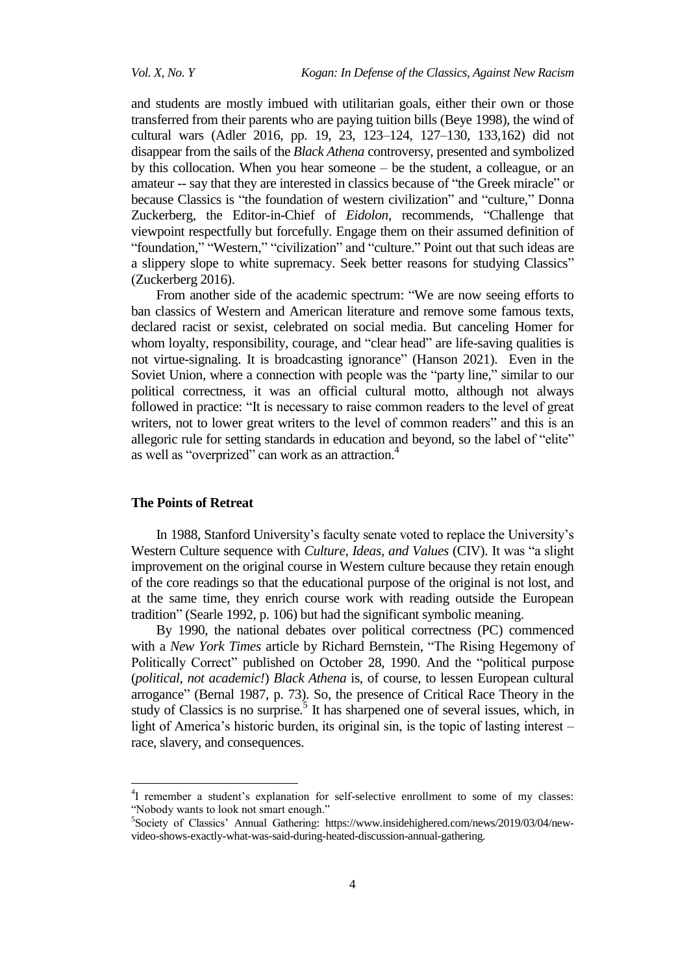and students are mostly imbued with utilitarian goals, either their own or those transferred from their parents who are paying tuition bills (Beye 1998), the wind of cultural wars (Adler 2016, pp. 19, 23, 123–124, 127–130, 133,162) did not disappear from the sails of the *Black Athena* controversy, presented and symbolized by this collocation. When you hear someone – be the student, a colleague, or an amateur -- say that they are interested in classics because of "the Greek miracle" or because Classics is "the foundation of western civilization" and "culture," Donna Zuckerberg, the Editor-in-Chief of *Eidolon*, recommends, "Challenge that viewpoint respectfully but forcefully. Engage them on their assumed definition of "foundation," "Western," "civilization" and "culture." Point out that such ideas are a slippery slope to white supremacy. Seek better reasons for studying Classics" (Zuckerberg 2016).

From another side of the academic spectrum: "We are now seeing efforts to ban classics of Western and American literature and remove some famous texts, declared racist or sexist, celebrated on social media. But canceling Homer for whom loyalty, responsibility, courage, and "clear head" are life-saving qualities is not virtue-signaling. It is broadcasting ignorance" (Hanson 2021). Even in the Soviet Union, where a connection with people was the "party line," similar to our political correctness, it was an official cultural motto, although not always followed in practice: "It is necessary to raise common readers to the level of great writers, not to lower great writers to the level of common readers" and this is an allegoric rule for setting standards in education and beyond, so the label of "elite" as well as "overprized" can work as an attraction.<sup>4</sup>

#### **The Points of Retreat**

 $\overline{a}$ 

In 1988, Stanford University's faculty senate voted to replace the University's Western Culture sequence with *Culture, Ideas, and Values* (CIV). It was "a slight improvement on the original course in Western culture because they retain enough of the core readings so that the educational purpose of the original is not lost, and at the same time, they enrich course work with reading outside the European tradition" (Searle 1992, p. 106) but had the significant symbolic meaning.

By 1990, the national debates over political correctness (PC) commenced with a *New York Times* article by Richard Bernstein, "The Rising Hegemony of Politically Correct" published on October 28, 1990. And the "political purpose (*political, not academic!*) *Black Athena* is, of course, to lessen European cultural arrogance‖ (Bernal 1987, p. 73). So, the presence of Critical Race Theory in the study of Classics is no surprise.<sup>5</sup> It has sharpened one of several issues, which, in light of America's historic burden, its original sin, is the topic of lasting interest – race, slavery, and consequences.

<sup>&</sup>lt;sup>4</sup>I remember a student's explanation for self-selective enrollment to some of my classes: "Nobody wants to look not smart enough."

<sup>5</sup> Society of Classics' Annual Gathering: [https://www.insidehighered.com/news/2019/03/04/new](https://www.insidehighered.com/news/2019/03/04/new-video-shows-exactly-what-was-said-during-heated-discussion-annual-gathering)[video-shows-exactly-what-was-said-during-heated-discussion-annual-gathering.](https://www.insidehighered.com/news/2019/03/04/new-video-shows-exactly-what-was-said-during-heated-discussion-annual-gathering)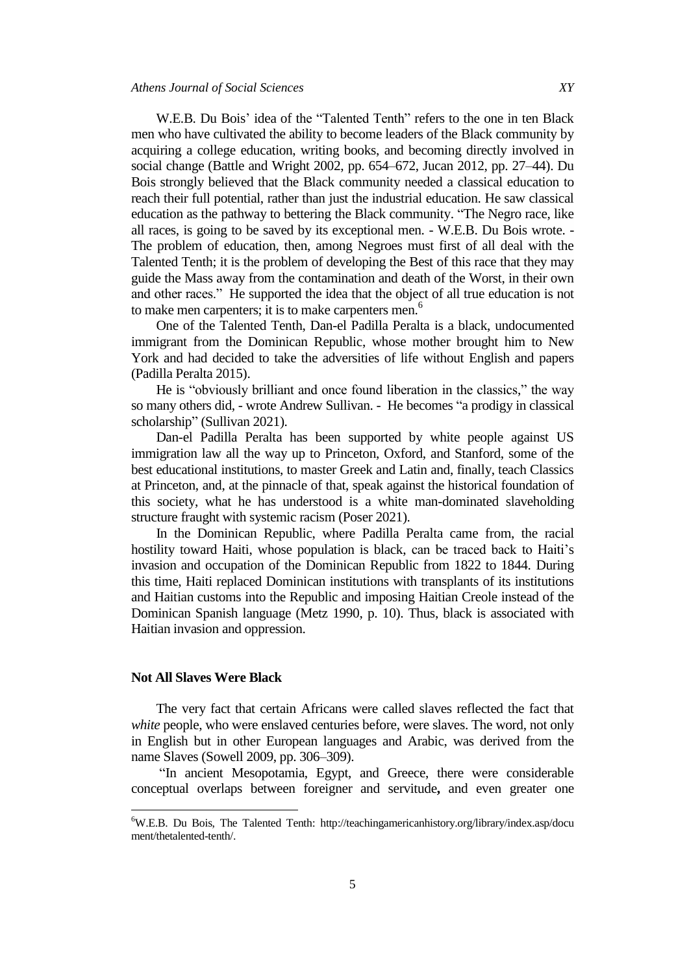W.E.B. Du Bois' idea of the "Talented Tenth" refers to the one in ten Black men who have cultivated the ability to become leaders of the Black community by acquiring a college education, writing books, and becoming directly involved in [social change](https://en.wikipedia.org/wiki/Social_change) (Battle and Wright 2002, pp. 654–672, Jucan 2012, pp. 27–44). Du Bois strongly believed that the Black community needed a [classical education](https://en.wikipedia.org/wiki/Classical_education_movement) to reach their full potential, rather than just the [industrial education.](https://en.wikipedia.org/wiki/Industrial_education) He saw classical education as the pathway to bettering the Black community. "The Negro race, like all races, is going to be saved by its exceptional men. - W.E.B. Du Bois wrote. - The problem of education, then, among Negroes must first of all deal with the Talented Tenth; it is the problem of developing the Best of this race that they may guide the Mass away from the contamination and death of the Worst, in their own and other races." He supported the idea that the object of all true education is not to make men carpenters; it is to make carpenters men.<sup>6</sup>

One of the Talented Tenth, Dan-el Padilla Peralta is a black, undocumented immigrant from the Dominican Republic, whose mother brought him to New York and had decided to take the adversities of life without English and papers (Padilla Peralta 2015).

He is "obviously brilliant and once found liberation in the classics," the way so many others did, - wrote Andrew Sullivan. - He becomes "a prodigy in classical scholarship" (Sullivan 2021).

Dan-el Padilla Peralta has been supported by white people against US immigration law all the way up to Princeton, Oxford, and Stanford, some of the best educational institutions, to master Greek and Latin and, finally, teach Classics at Princeton, and, at the pinnacle of that, speak against the historical foundation of this society, what he has understood is a white man-dominated slaveholding structure fraught with systemic racism (Poser 2021).

In the Dominican Republic, where Padilla Peralta came from, the racial hostility toward Haiti, whose population is black, can be traced back to Haiti's invasion and occupation of the Dominican Republic from 1822 to 1844. During this time, Haiti replaced Dominican institutions with transplants of its institutions and Haitian customs into the Republic and imposing Haitian Creole instead of the Dominican Spanish language (Metz 1990, p. 10). Thus, black is associated with Haitian invasion and oppression.

## **Not All Slaves Were Black**

 $\overline{\phantom{a}}$ 

The very fact that certain Africans were called slaves reflected the fact that *white* people, who were enslaved centuries before, were slaves. The word, not only in English but in other European languages and Arabic, was derived from the name Slaves (Sowell 2009, pp. 306–309).

"In ancient Mesopotamia, Egypt, and Greece, there were considerable conceptual overlaps between foreigner and servitude**,** and even greater one

<sup>6</sup>W.E.B. Du Bois, The Talented Tenth: http://teachingamericanhistory.org/library/index.asp/docu ment/thetalented-tenth/.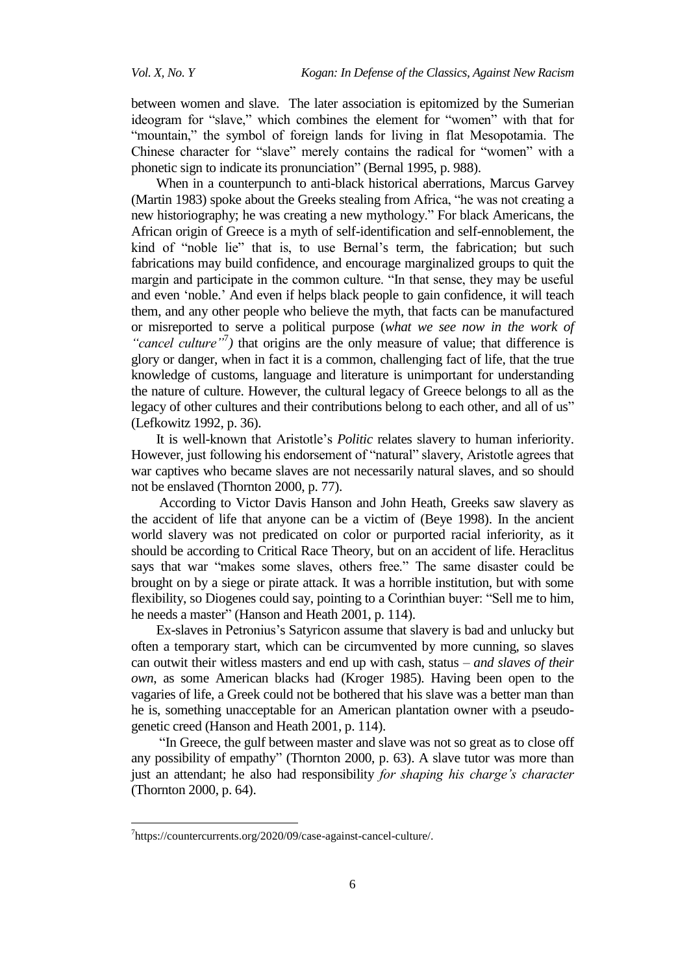between women and slave.The later association is epitomized by the Sumerian ideogram for "slave," which combines the element for "women" with that for "mountain," the symbol of foreign lands for living in flat Mesopotamia. The Chinese character for "slave" merely contains the radical for "women" with a phonetic sign to indicate its pronunciation" (Bernal 1995, p. 988).

When in a counterpunch to anti-black historical aberrations, Marcus Garvey (Martin 1983) spoke about the Greeks stealing from Africa, "he was not creating a new historiography; he was creating a new mythology." For black Americans, the African origin of Greece is a myth of self-identification and self-ennoblement, the kind of "noble lie" that is, to use Bernal's term, the fabrication; but such fabrications may build confidence, and encourage marginalized groups to quit the margin and participate in the common culture. "In that sense, they may be useful and even 'noble.' And even if helps black people to gain confidence, it will teach them, and any other people who believe the myth, that facts can be manufactured or misreported to serve a political purpose (*what we see now in the work of*  "*cancel culture*"<sup>7</sup>) that origins are the only measure of value; that difference is glory or danger, when in fact it is a common, challenging fact of life, that the true knowledge of customs, language and literature is unimportant for understanding the nature of culture. However, the cultural legacy of Greece belongs to all as the legacy of other cultures and their contributions belong to each other, and all of us" (Lefkowitz 1992, p. 36).

It is well-known that Aristotle's *Politic* relates slavery to human inferiority. However, just following his endorsement of "natural" slavery, Aristotle agrees that war captives who became slaves are not necessarily natural slaves, and so should not be enslaved (Thornton 2000, p. 77).

According to Victor Davis Hanson and John Heath, Greeks saw slavery as the accident of life that anyone can be a victim of (Beye 1998). In the ancient world slavery was not predicated on color or purported racial inferiority, as it should be according to Critical Race Theory*,* but on an accident of life. Heraclitus says that war "makes some slaves, others free." The same disaster could be brought on by a siege or pirate attack. It was a horrible institution, but with some flexibility, so Diogenes could say, pointing to a Corinthian buyer: "Sell me to him, he needs a master" (Hanson and Heath 2001, p. 114).

Ex-slaves in Petronius's Satyricon assume that slavery is bad and unlucky but often a temporary start, which can be circumvented by more cunning, so slaves can outwit their witless masters and end up with cash, status – *and slaves of their own*, as some American blacks had (Kroger 1985). Having been open to the vagaries of life, a Greek could not be bothered that his slave was a better man than he is, something unacceptable for an American plantation owner with a pseudogenetic creed (Hanson and Heath 2001, p. 114).

"In Greece, the gulf between master and slave was not so great as to close off any possibility of empathy" (Thornton 2000, p. 63). A slave tutor was more than just an attendant; he also had responsibility *for shaping his charge's character* (Thornton 2000, p. 64).

 $\overline{a}$ 

<sup>7</sup> https://countercurrents.org/2020/09/case-against-cancel-culture/.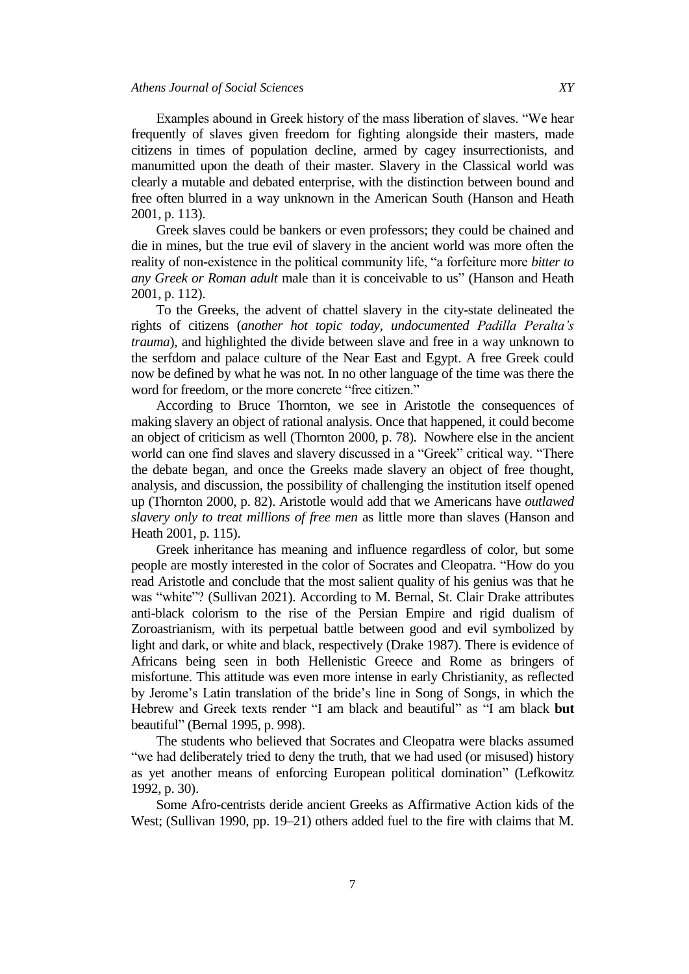Examples abound in Greek history of the mass liberation of slaves. "We hear frequently of slaves given freedom for fighting alongside their masters, made citizens in times of population decline, armed by cagey insurrectionists, and manumitted upon the death of their master. Slavery in the Classical world was clearly a mutable and debated enterprise, with the distinction between bound and free often blurred in a way unknown in the American South (Hanson and Heath 2001, p. 113).

Greek slaves could be bankers or even professors; they could be chained and die in mines, but the true evil of slavery in the ancient world was more often the reality of non-existence in the political community life, "a forfeiture more *bitter to any Greek or Roman adult* male than it is conceivable to us" (Hanson and Heath 2001, p. 112).

To the Greeks, the advent of chattel slavery in the city-state delineated the rights of citizens (*another hot topic today, undocumented Padilla Peralta's trauma*), and highlighted the divide between slave and free in a way unknown to the serfdom and palace culture of the Near East and Egypt. A free Greek could now be defined by what he was not. In no other language of the time was there the word for freedom, or the more concrete "free citizen."

According to Bruce Thornton, we see in Aristotle the consequences of making slavery an object of rational analysis. Once that happened, it could become an object of criticism as well (Thornton 2000, p. 78). Nowhere else in the ancient world can one find slaves and slavery discussed in a "Greek" critical way. "There the debate began, and once the Greeks made slavery an object of free thought, analysis, and discussion, the possibility of challenging the institution itself opened up (Thornton 2000, p. 82). Aristotle would add that we Americans have *outlawed slavery only to treat millions of free men* as little more than slaves (Hanson and Heath 2001, p. 115).

Greek inheritance has meaning and influence regardless of color, but some people are mostly interested in the color of Socrates and Cleopatra. "How do you read Aristotle and conclude that the most salient quality of his genius was that he was "white"? (Sullivan 2021). According to M. Bernal, St. Clair Drake attributes anti-black colorism to the rise of the Persian Empire and rigid dualism of Zoroastrianism, with its perpetual battle between good and evil symbolized by light and dark, or white and black, respectively (Drake 1987). There is evidence of Africans being seen in both Hellenistic Greece and Rome as bringers of misfortune. This attitude was even more intense in early Christianity, as reflected by Jerome's Latin translation of the bride's line in Song of Songs, in which the Hebrew and Greek texts render "I am black and beautiful" as "I am black **but** beautiful" (Bernal 1995, p. 998).

The students who believed that Socrates and Cleopatra were blacks assumed "we had deliberately tried to deny the truth, that we had used (or misused) history as yet another means of enforcing European political domination" (Lefkowitz 1992, p. 30).

Some Afro-centrists deride ancient Greeks as Affirmative Action kids of the West; (Sullivan 1990, pp. 19–21) others added fuel to the fire with claims that M.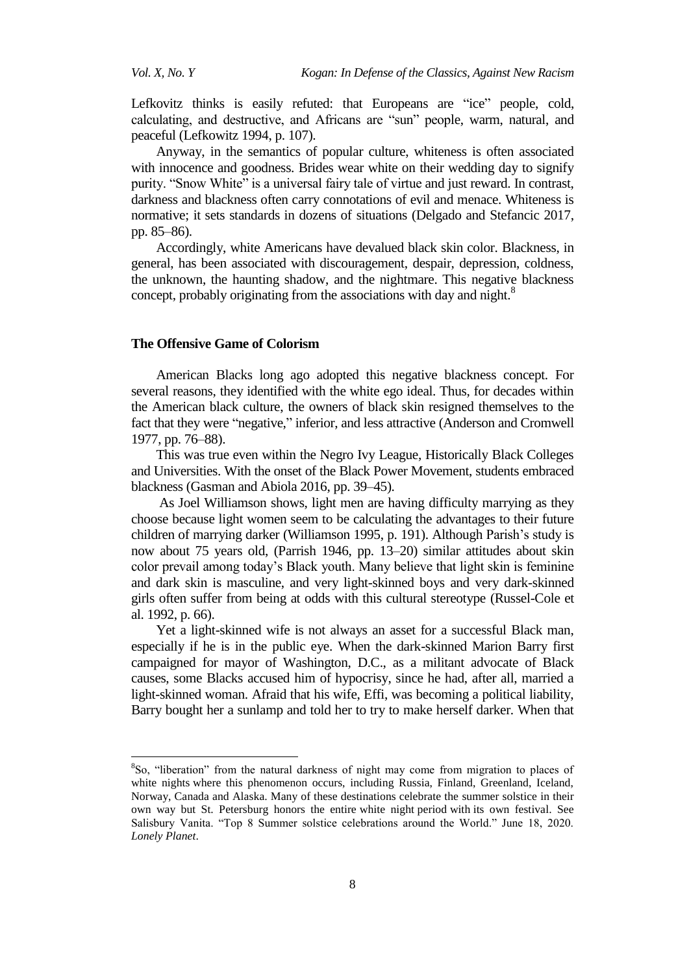$\overline{a}$ 

Lefkovitz thinks is easily refuted: that Europeans are "ice" people, cold, calculating, and destructive, and Africans are "sun" people, warm, natural, and peaceful (Lefkowitz 1994, p. 107).

Anyway, in the semantics of popular culture, whiteness is often associated with innocence and goodness. Brides wear white on their wedding day to signify purity. "Snow White" is a universal fairy tale of virtue and just reward. In contrast, darkness and blackness often carry connotations of evil and menace. Whiteness is normative; it sets standards in dozens of situations (Delgado and Stefancic 2017, pp. 85–86).

Accordingly, white Americans have devalued black skin color. Blackness, in general, has been associated with discouragement, despair, depression, coldness, the unknown, the haunting shadow, and the nightmare. This negative blackness concept, probably originating from the associations with day and night.<sup>8</sup>

## **The Offensive Game of Colorism**

American Blacks long ago adopted this negative blackness concept. For several reasons, they identified with the white ego ideal. Thus, for decades within the American black culture, the owners of black skin resigned themselves to the fact that they were "negative," inferior, and less attractive (Anderson and Cromwell 1977, pp. 76–88).

This was true even within the Negro Ivy League, Historically Black Colleges and Universities. With the onset of the Black Power Movement, students embraced blackness (Gasman and Abiola 2016, pp. 39–45).

As Joel Williamson shows, light men are having difficulty marrying as they choose because light women seem to be calculating the advantages to their future children of marrying darker (Williamson 1995, p. 191). Although Parish's study is now about 75 years old, (Parrish 1946, pp. 13–20) similar attitudes about skin color prevail among today's Black youth. Many believe that light skin is feminine and dark skin is masculine, and very light-skinned boys and very dark-skinned girls often suffer from being at odds with this cultural stereotype (Russel-Cole et al. 1992, p. 66).

Yet a light-skinned wife is not always an asset for a successful Black man, especially if he is in the public eye. When the dark-skinned Marion Barry first campaigned for mayor of Washington, D.C., as a militant advocate of Black causes, some Blacks accused him of hypocrisy, since he had, after all, married a light-skinned woman. Afraid that his wife, Effi, was becoming a political liability, Barry bought her a sunlamp and told her to try to make herself darker. When that

<sup>&</sup>lt;sup>8</sup>So, "liberation" from the natural darkness of night may come from migration to places of white nights where this phenomenon occurs, including Russia, Finland, Greenland, Iceland, Norway, Canada and Alaska. Many of these destinations celebrate the summer solstice in their own way but St. Petersburg honors the entire white night period with its own festival. See Salisbury Vanita. "Top 8 Summer solstice celebrations around the World." June 18, 2020. *Lonely Planet*.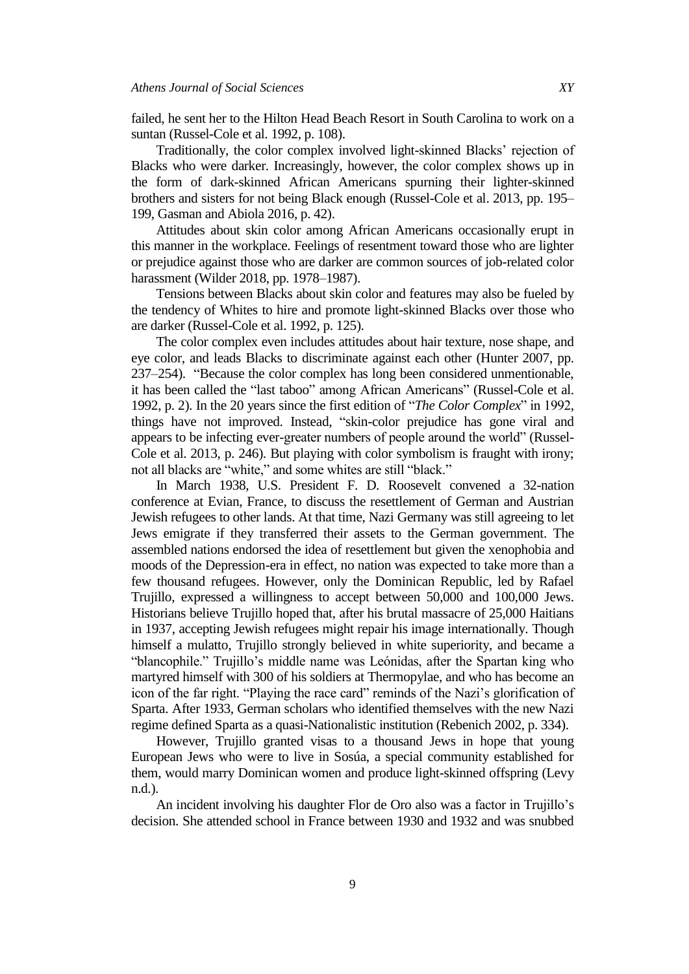failed, he sent her to the Hilton Head Beach Resort in South Carolina to work on a suntan (Russel-Cole et al. 1992, p. 108).

Traditionally, the color complex involved light-skinned Blacks' rejection of Blacks who were darker. Increasingly, however, the color complex shows up in the form of dark-skinned African Americans spurning their lighter-skinned brothers and sisters for not being Black enough (Russel-Cole et al. 2013, pp. 195– 199, Gasman and Abiola 2016, p. 42).

Attitudes about skin color among African Americans occasionally erupt in this manner in the workplace. Feelings of resentment toward those who are lighter or prejudice against those who are darker are common sources of job-related color harassment (Wilder 2018, pp. 1978–1987).

Tensions between Blacks about skin color and features may also be fueled by the tendency of Whites to hire and promote light-skinned Blacks over those who are darker (Russel-Cole et al. 1992, p. 125).

The color complex even includes attitudes about hair texture, nose shape, and eye color, and leads Blacks to discriminate against each other (Hunter 2007, pp. 237–254). "Because the color complex has long been considered unmentionable, it has been called the "last taboo" among African Americans" (Russel-Cole et al. 1992, p. 2). In the 20 years since the first edition of "*The Color Complex*" in 1992, things have not improved. Instead, "skin-color prejudice has gone viral and appears to be infecting ever-greater numbers of people around the world" (Russel-Cole et al. 2013, p. 246). But playing with color symbolism is fraught with irony; not all blacks are "white," and some whites are still "black."

In March 1938, U.S. President F. D. Roosevelt convened a 32-nation conference at Evian, France, to discuss the resettlement of German and Austrian Jewish refugees to other lands. At that time, Nazi Germany was still agreeing to let Jews emigrate if they transferred their assets to the German government. The assembled nations endorsed the idea of resettlement but given the xenophobia and moods of the Depression-era in effect, no nation was expected to take more than a few thousand refugees. However, only the Dominican Republic, led by Rafael Trujillo, expressed a willingness to accept between 50,000 and 100,000 Jews. Historians believe Trujillo hoped that, after his brutal massacre of 25,000 Haitians in 1937, accepting Jewish refugees might repair his image internationally. Though himself a mulatto, Trujillo strongly believed in white superiority, and became a "blancophile." Trujillo's middle name was Leónidas, after the Spartan king who martyred himself with 300 of his soldiers at Thermopylae, and who has become an icon of the far right. "Playing the race card" reminds of the Nazi's glorification of Sparta. After 1933, German scholars who identified themselves with the new Nazi regime defined Sparta as a quasi-Nationalistic institution (Rebenich 2002, p. 334).

However, Trujillo granted visas to a thousand Jews in hope that young European Jews who were to live in Sosúa, a special community established for them, would marry Dominican women and produce light-skinned offspring (Levy n.d.).

An incident involving his daughter Flor de Oro also was a factor in Trujillo's decision. She attended school in France between 1930 and 1932 and was snubbed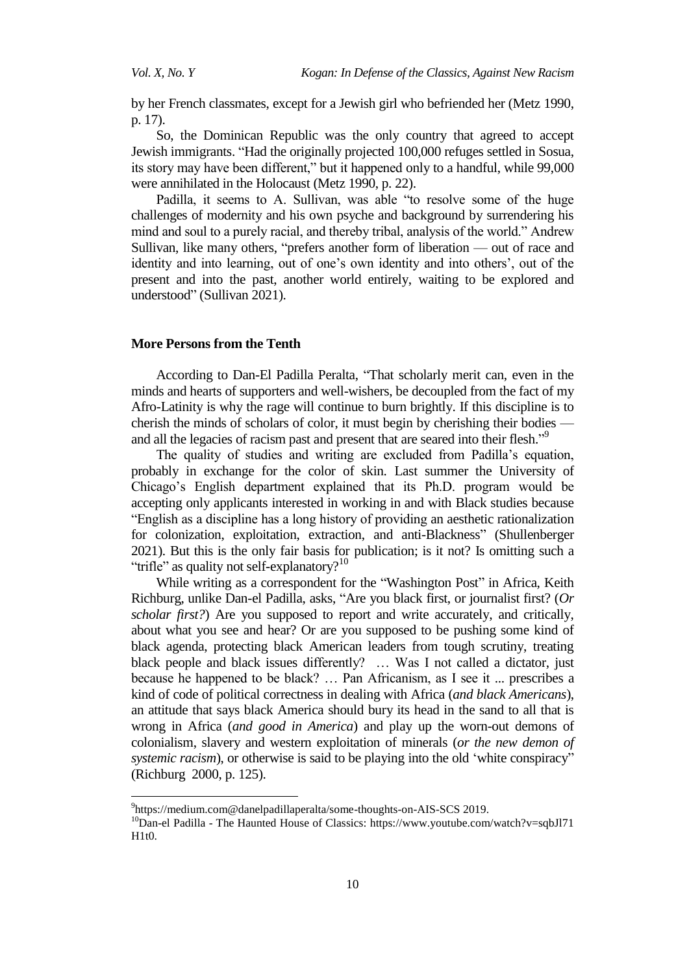by her French classmates, except for a Jewish girl who befriended her (Metz 1990, p. 17).

So, the Dominican Republic was the only country that agreed to accept Jewish immigrants. "Had the originally projected 100,000 refuges settled in Sosua, its story may have been different," but it happened only to a handful, while 99,000 were annihilated in the Holocaust (Metz 1990, p. 22).

Padilla, it seems to A. Sullivan, was able "to resolve some of the huge challenges of modernity and his own psyche and background by surrendering his mind and soul to a purely racial, and thereby tribal, analysis of the world." Andrew Sullivan, like many others, "prefers another form of liberation — out of race and identity and into learning, out of one's own identity and into others', out of the present and into the past, another world entirely, waiting to be explored and understood" (Sullivan 2021).

#### **More Persons from the Tenth**

 $\overline{a}$ 

According to Dan-El Padilla Peralta, "That scholarly merit can, even in the minds and hearts of supporters and well-wishers, be decoupled from the fact of my Afro-Latinity is why the rage will continue to burn brightly. If this discipline is to cherish the minds of scholars of color, it must begin by cherishing their bodies and all the legacies of racism past and present that are seared into their flesh."<sup>9</sup>

The quality of studies and writing are excluded from Padilla's equation, probably in exchange for the color of skin. Last summer the University of Chicago's English department explained that its Ph.D. program would be accepting only applicants interested in working in and with Black studies because ―English as a discipline has a long history of providing an aesthetic rationalization for colonization, exploitation, extraction, and anti-Blackness" (Shullenberger 2021). But this is the only fair basis for publication; is it not? Is omitting such a "trifle" as quality not self-explanatory? $10$ 

While writing as a correspondent for the "Washington Post" in Africa, Keith Richburg, unlike Dan-el Padilla, asks, "Are you black first, or journalist first? (Or *scholar first?*) Are you supposed to report and write accurately, and critically, about what you see and hear? Or are you supposed to be pushing some kind of black agenda, protecting black American leaders from tough scrutiny, treating black people and black issues differently? … Was I not called a dictator, just because he happened to be black? … Pan Africanism, as I see it ... prescribes a kind of code of political correctness in dealing with Africa (*and black Americans*), an attitude that says black America should bury its head in the sand to all that is wrong in Africa (*and good in America*) and play up the worn-out demons of colonialism, slavery and western exploitation of minerals (*or the new demon of systemic racism*), or otherwise is said to be playing into the old 'white conspiracy" (Richburg 2000, p. 125).

<sup>9</sup> <https://medium.com@danelpadillaperalta/some-thoughts-on-AIS-SCS> 2019.

<sup>10</sup>Dan-el Padilla - The Haunted House of Classics: https://www.youtube.com/watch?v=sqbJl71 H1t0.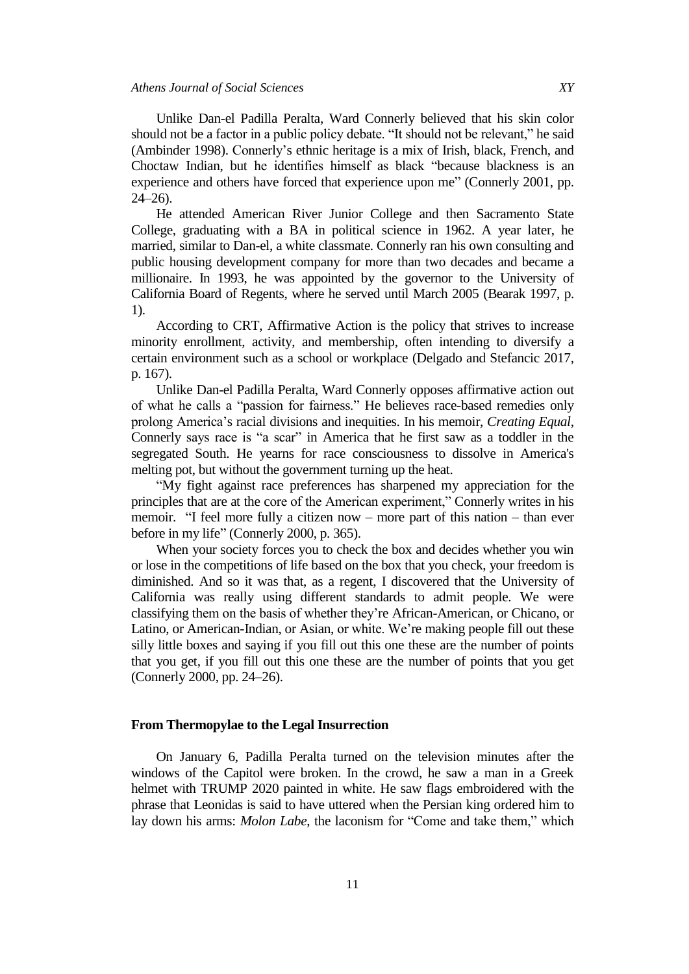Unlike Dan-el Padilla Peralta, Ward Connerly believed that his skin color should not be a factor in a public policy debate. "It should not be relevant," he said (Ambinder 1998). Connerly's ethnic heritage is a mix of Irish, black, French, and Choctaw Indian, but he identifies himself as black "because blackness is an experience and others have forced that experience upon me" (Connerly 2001, pp. 24–26).

He attended American River Junior College and then Sacramento State College, graduating with a BA in political science in 1962. A year later, he married, similar to Dan-el, a white classmate. Connerly ran his own consulting and public housing development company for more than two decades and became a millionaire. In 1993, he was appointed by the governor to the University of California Board of Regents, where he served until March 2005 (Bearak 1997, p. 1).

According to CRT, Affirmative Action is the policy that strives to increase minority enrollment, activity, and membership, often intending to diversify a certain environment such as a school or workplace (Delgado and Stefancic 2017, p. 167).

Unlike Dan-el Padilla Peralta, Ward Connerly opposes affirmative action out of what he calls a "passion for fairness." He believes race-based remedies only prolong America's racial divisions and inequities. In his memoir, *Creating Equal*, Connerly says race is "a scar" in America that he first saw as a toddler in the segregated South. He yearns for race consciousness to dissolve in America's melting pot, but without the government turning up the heat.

―My fight against race preferences has sharpened my appreciation for the principles that are at the core of the American experiment," Connerly writes in his memoir. "I feel more fully a citizen now – more part of this nation – than ever before in my life" (Connerly 2000, p. 365).

When your society forces you to check the box and decides whether you win or lose in the competitions of life based on the box that you check, your freedom is diminished. And so it was that, as a regent, I discovered that the University of California was really using different standards to admit people. We were classifying them on the basis of whether they're African-American, or Chicano, or Latino, or American-Indian, or Asian, or white. We're making people fill out these silly little boxes and saying if you fill out this one these are the number of points that you get, if you fill out this one these are the number of points that you get (Connerly 2000, pp. 24–26).

### **From Thermopylae to the Legal Insurrection**

On January 6, Padilla Peralta turned on the television minutes after the windows of the Capitol were broken. In the crowd, he saw a man in a Greek helmet with TRUMP 2020 painted in white. He saw flags embroidered with the phrase that Leonidas is said to have uttered when the Persian king ordered him to lay down his arms: *Molon Labe*, the laconism for "Come and take them," which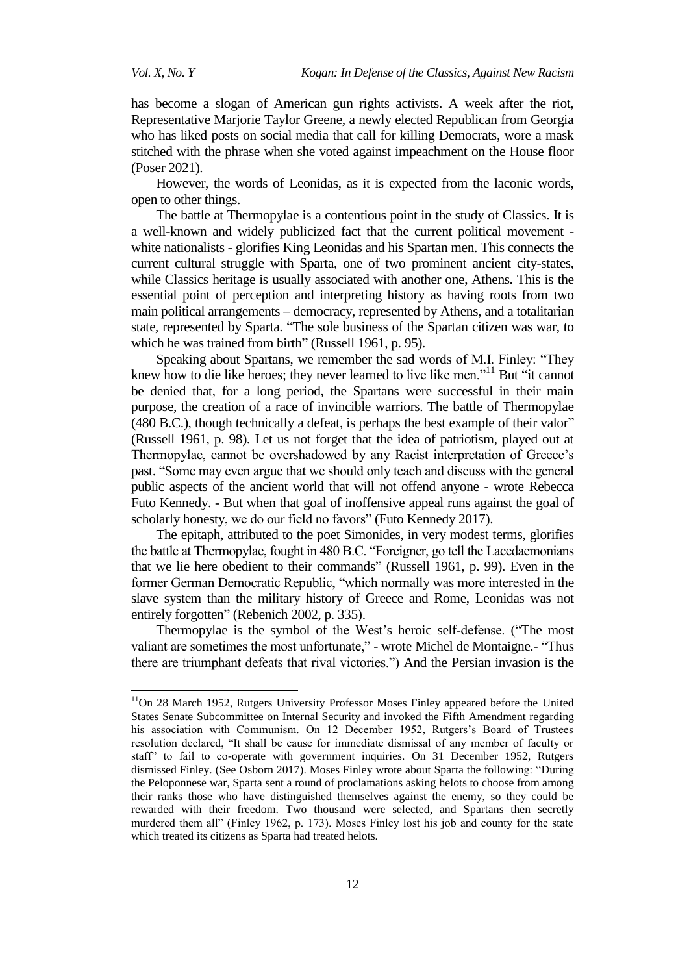$\overline{a}$ 

has become a slogan of American gun rights activists. A week after the riot, Representative Marjorie Taylor Greene, a newly elected Republican from Georgia who has liked posts on social media that call for killing Democrats, wore a mask stitched with the phrase when she voted against impeachment on the House floor (Poser 2021).

However, the words of Leonidas, as it is expected from the laconic words, open to other things.

The battle at Thermopylae is a contentious point in the study of Classics. It is a well-known and widely publicized fact that the current political movement white nationalists - glorifies King Leonidas and his Spartan men. This connects the current cultural struggle with Sparta, one of two prominent ancient city-states, while Classics heritage is usually associated with another one, Athens. This is the essential point of perception and interpreting history as having roots from two main political arrangements – democracy, represented by Athens, and a totalitarian state, represented by Sparta. "The sole business of the Spartan citizen was war, to which he was trained from birth" (Russell 1961, p. 95).

Speaking about Spartans, we remember the sad words of M.I. Finley: "They knew how to die like heroes; they never learned to live like men."<sup>11</sup> But "it cannot be denied that, for a long period, the Spartans were successful in their main purpose, the creation of a race of invincible warriors. The battle of Thermopylae (480 B.C.), though technically a defeat, is perhaps the best example of their valor" (Russell 1961, p. 98). Let us not forget that the idea of patriotism, played out at Thermopylae, cannot be overshadowed by any Racist interpretation of Greece's past. "Some may even argue that we should only teach and discuss with the general public aspects of the ancient world that will not offend anyone - wrote Rebecca Futo Kennedy. - But when that goal of inoffensive appeal runs against the goal of scholarly honesty, we do our field no favors" (Futo Kennedy 2017).

The epitaph, attributed to the poet Simonides, in very modest terms, glorifies the battle at Thermopylae, fought in 480 B.C. "Foreigner, go tell the Lacedaemonians that we lie here obedient to their commands" (Russell 1961, p. 99). Even in the former German Democratic Republic, "which normally was more interested in the slave system than the military history of Greece and Rome, Leonidas was not entirely forgotten" (Rebenich 2002, p. 335).

Thermopylae is the symbol of the West's heroic self-defense. ("The most valiant are sometimes the most unfortunate," - wrote Michel de Montaigne.- "Thus there are triumphant defeats that rival victories.‖) And the Persian invasion is the

<sup>&</sup>lt;sup>11</sup>On 28 March 1952, Rutgers University Professor Moses Finley appeared before the United States Senate Subcommittee on Internal Security and invoked the [Fifth Amendment](https://en.wikipedia.org/wiki/Fifth_Amendment_to_the_United_States_Constitution) regarding his association with Communism. On 12 December 1952, Rutgers's Board of Trustees resolution declared, "It shall be cause for immediate dismissal of any member of faculty or staff" to fail to co-operate with government inquiries. On 31 December 1952, Rutgers dismissed Finley. (See Osborn 2017). Moses Finley wrote about Sparta the following: "During the Peloponnese war, Sparta sent a round of proclamations asking helots to choose from among their ranks those who have distinguished themselves against the enemy, so they could be rewarded with their freedom. Two thousand were selected, and Spartans then secretly murdered them all" (Finley 1962, p. 173). Moses Finley lost his job and county for the state which treated its citizens as Sparta had treated helots.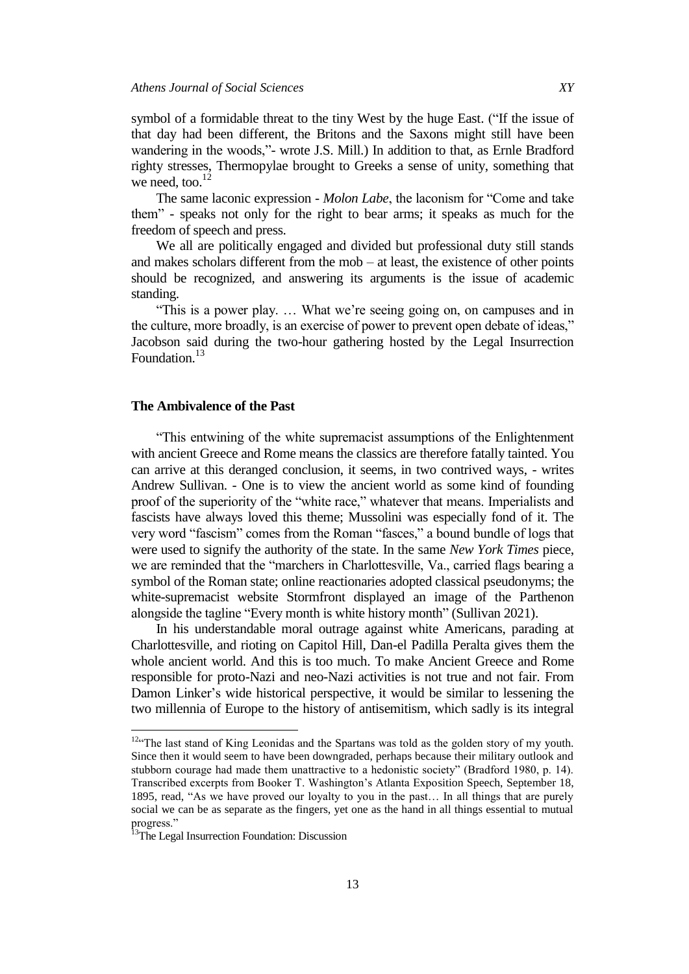symbol of a formidable threat to the tiny West by the huge East. ("If the issue of that day had been different, the Britons and the Saxons might still have been wandering in the woods,"- wrote J.S. Mill.) In addition to that, as Ernle Bradford righty stresses, Thermopylae brought to Greeks a sense of unity, something that we need, too. $^{12}$ 

The same laconic expression - *Molon Labe*, the laconism for "Come and take them‖ - speaks not only for the right to bear arms; it speaks as much for the freedom of speech and press.

We all are politically engaged and divided but professional duty still stands and makes scholars different from the mob – at least, the existence of other points should be recognized, and answering its arguments is the issue of academic standing.

"This is a power play. ... What we're seeing going on, on campuses and in the culture, more broadly, is an exercise of power to prevent open debate of ideas," Jacobson said during the two-hour gathering hosted by the Legal Insurrection Foundation.<sup>13</sup>

#### **The Ambivalence of the Past**

―This entwining of the white supremacist assumptions of the Enlightenment with ancient Greece and Rome means the classics are therefore fatally tainted. You can arrive at this deranged conclusion, it seems, in two contrived ways, - writes Andrew Sullivan. - One is to view the ancient world as some kind of founding proof of the superiority of the "white race," whatever that means. Imperialists and fascists have always loved this theme; Mussolini was especially fond of it. The very word "fascism" comes from the Roman "fasces," a bound bundle of logs that were used to signify the authority of the state. In the same *New York Times* piece, we are reminded that the "marchers in Charlottesville, Va., carried flags bearing a symbol of the Roman state; online reactionaries adopted classical pseudonyms; the white-supremacist website Stormfront displayed an image of the Parthenon alongside the tagline "Every month is white history month" (Sullivan 2021).

In his understandable moral outrage against white Americans, parading at Charlottesville, and rioting on Capitol Hill, Dan-el Padilla Peralta gives them the whole ancient world. And this is too much. To make Ancient Greece and Rome responsible for proto-Nazi and neo-Nazi activities is not true and not fair. From Damon Linker's wide historical perspective, it would be similar to lessening the two millennia of Europe to the history of antisemitism, which sadly is its integral

 $\overline{\phantom{a}}$ 

<sup>&</sup>lt;sup>12</sup><sup>4</sup>The last stand of King Leonidas and the Spartans was told as the golden story of my youth. Since then it would seem to have been downgraded, perhaps because their military outlook and stubborn courage had made them unattractive to a hedonistic society" (Bradford 1980, p. 14). Transcribed excerpts from Booker T. Washington's Atlanta Exposition Speech, September 18, 1895, read, "As we have proved our loyalty to you in the past... In all things that are purely social we can be as separate as the fingers, yet one as the hand in all things essential to mutual progress."

<sup>&</sup>lt;sup>13</sup>The Legal Insurrection Foundation: [Discussion](https://www.youtube.com/watch?v=jWtuZGqsLIM)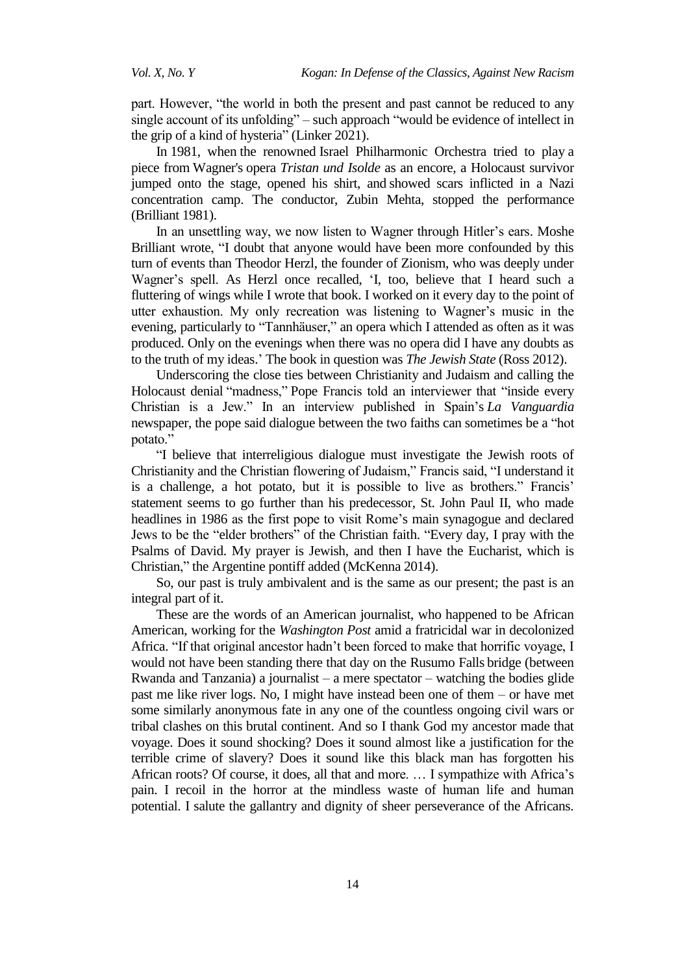part. However, "the world in both the present and past cannot be reduced to any single account of its unfolding" – such approach "would be evidence of intellect in the grip of a kind of hysteria" (Linker 2021).

In 1981, when the renowned Israel Philharmonic Orchestra tried to play a piece from Wagner's opera *Tristan und Isolde* as an encore, a Holocaust survivor jumped onto the stage, opened his shirt, and showed scars inflicted in a Nazi concentration camp. The conductor, Zubin Mehta, stopped the performance (Brilliant 1981).

In an unsettling way, we now listen to Wagner through Hitler's ears. Moshe Brilliant wrote, "I doubt that anyone would have been more confounded by this turn of events than Theodor Herzl, the founder of Zionism, who was deeply under Wagner's spell. As Herzl once recalled, ‗I, too, believe that I heard such a fluttering of wings while I wrote that book. I worked on it every day to the point of utter exhaustion. My only recreation was listening to Wagner's music in the evening, particularly to "Tannhäuser," an opera which I attended as often as it was produced. Only on the evenings when there was no opera did I have any doubts as to the truth of my ideas.' The book in question was *The Jewish State* [\(Ross](https://www.newyorker.com/contributors/alex-ross) 2012).

Underscoring the close ties between Christianity and Judaism and calling the Holocaust denial "madness," Pope Francis told an interviewer that "inside every Christian is a Jew.‖ In an interview published in Spain's *La Vanguardia* newspaper, the pope said dialogue between the two faiths can sometimes be a "hot potato."

―I believe that interreligious dialogue must investigate the Jewish roots of Christianity and the Christian flowering of Judaism," Francis said, "I understand it is a challenge, a hot potato, but it is possible to live as brothers." Francis' statement seems to go further than his predecessor, St. John Paul II, who made headlines in 1986 as the first pope to visit Rome's main synagogue and declared Jews to be the "elder brothers" of the Christian faith. "Every day, I pray with the Psalms of David. My prayer is Jewish, and then I have the Eucharist, which is Christian," the Argentine pontiff added [\(McKenna](https://www.ncronline.org/authors/josephine-mckenna) 2014).

So, our past is truly ambivalent and is the same as our present; the past is an integral part of it.

These are the words of an American journalist, who happened to be African American, working for the *Washington Post* amid a fratricidal war in decolonized Africa. "If that original ancestor hadn't been forced to make that horrific voyage, I would not have been standing there that day on the Rusumo Falls bridge (between Rwanda and Tanzania) a journalist – a mere spectator – watching the bodies glide past me like river logs. No, I might have instead been one of them – or have met some similarly anonymous fate in any one of the countless ongoing civil wars or tribal clashes on this brutal continent. And so I thank God my ancestor made that voyage. Does it sound shocking? Does it sound almost like a justification for the terrible crime of slavery? Does it sound like this black man has forgotten his African roots? Of course, it does, all that and more. … I sympathize with Africa's pain. I recoil in the horror at the mindless waste of human life and human potential. I salute the gallantry and dignity of sheer perseverance of the Africans.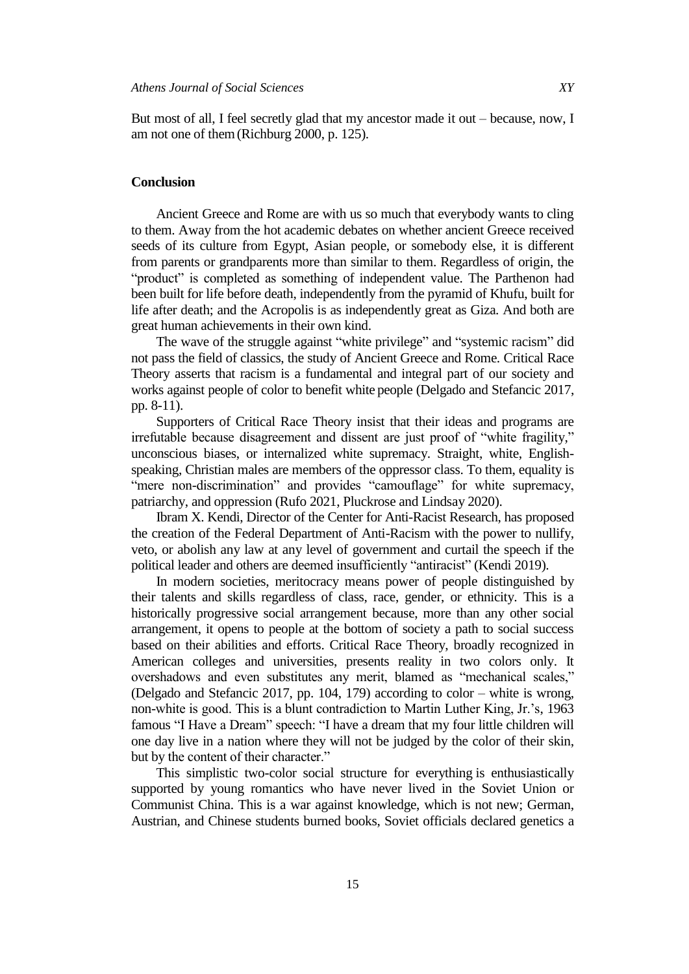But most of all, I feel secretly glad that my ancestor made it out – because, now, I am not one of them(Richburg 2000, p. 125).

### **Conclusion**

Ancient Greece and Rome are with us so much that everybody wants to cling to them. Away from the hot academic debates on whether ancient Greece received seeds of its culture from Egypt, Asian people, or somebody else, it is different from parents or grandparents more than similar to them. Regardless of origin, the "product" is completed as something of independent value. The Parthenon had been built for life before death, independently from the pyramid of Khufu, built for life after death; and the Acropolis is as independently great as Giza. And both are great human achievements in their own kind.

The wave of the struggle against "white privilege" and "systemic racism" did not pass the field of classics, the study of Ancient Greece and Rome. Critical Race Theory asserts that racism is a fundamental and integral part of our society and works against people of color to benefit white people (Delgado and Stefancic 2017, pp. 8-11).

Supporters of Critical Race Theory insist that their ideas and programs are irrefutable because disagreement and dissent are just proof of "white fragility," unconscious biases, or internalized white supremacy. Straight, white, Englishspeaking, Christian males are members of the oppressor class. To them, equality is "mere non-discrimination" and provides "camouflage" for white supremacy, patriarchy, and oppression (Rufo 2021, Pluckrose and Lindsay 2020).

Ibram X. Kendi, Director of the Center for Anti-Racist Research, has proposed the creation of the Federal Department of Anti-Racism with the power to nullify, veto, or abolish any law at any level of government and curtail the speech if the political leader and others are deemed insufficiently "antiracist" (Kendi 2019).

In modern societies, meritocracy means power of people distinguished by their talents and skills regardless of class, race, gender, or ethnicity. This is a historically progressive social arrangement because, more than any other social arrangement, it opens to people at the bottom of society a path to social success based on their abilities and efforts. Critical Race Theory, broadly recognized in American colleges and universities, presents reality in two colors only. It overshadows and even substitutes any merit, blamed as "mechanical scales," (Delgado and Stefancic 2017, pp. 104, 179) according to color – white is wrong, non-white is good. This is a blunt contradiction to Martin Luther King, Jr.'s, 1963 famous "I Have a Dream" speech: "I have a dream that my four little children will one day live in a nation where they will not be judged by the color of their skin, but by the content of their character."

This simplistic two-color social structure for everything is enthusiastically supported by young romantics who have never lived in the Soviet Union or Communist China. This is a war against knowledge, which is not new; German, Austrian, and Chinese students burned books, Soviet officials declared genetics a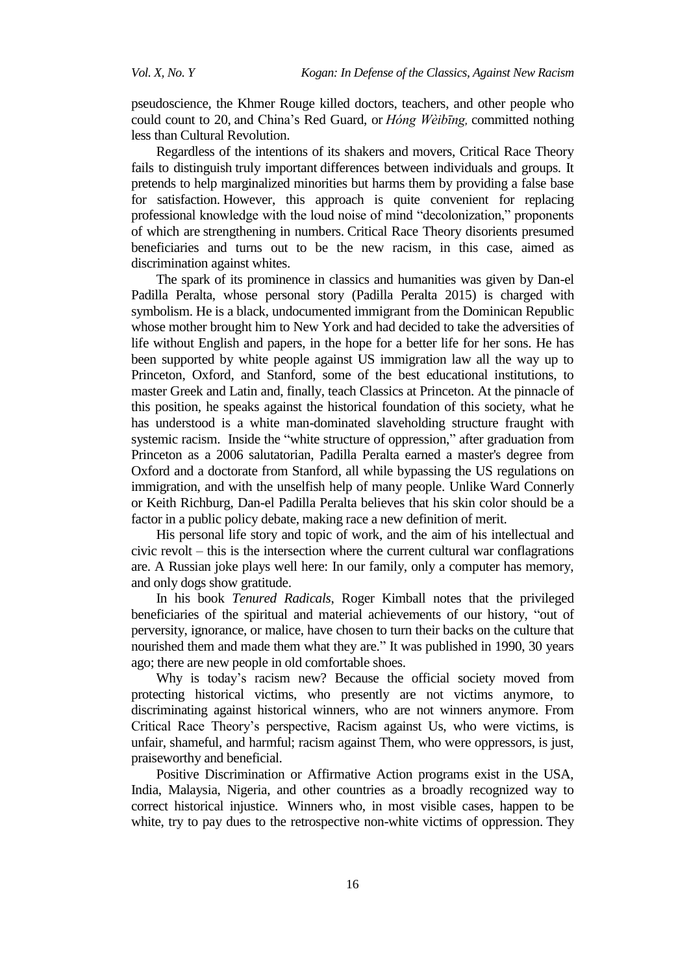pseudoscience, the Khmer Rouge killed doctors, teachers, and other people who could count to 20, and China's Red Guard, or *Hóng Wèibīng,* committed nothing less than Cultural Revolution.

Regardless of the intentions of its shakers and movers, Critical Race Theory fails to distinguish truly important differences between individuals and groups. It pretends to help marginalized minorities but harms them by providing a false base for satisfaction. However, this approach is quite convenient for replacing professional knowledge with the loud noise of mind "decolonization," proponents of which are strengthening in numbers. Critical Race Theory disorients presumed beneficiaries and turns out to be the new racism, in this case, aimed as discrimination against whites.

The spark of its prominence in classics and humanities was given by Dan-el Padilla Peralta, whose personal story (Padilla Peralta 2015) is charged with symbolism. He is a black, undocumented immigrant from the Dominican Republic whose mother brought him to New York and had decided to take the adversities of life without English and papers, in the hope for a better life for her sons. He has been supported by white people against US immigration law all the way up to Princeton, Oxford, and Stanford, some of the best educational institutions, to master Greek and Latin and, finally, teach Classics at Princeton. At the pinnacle of this position, he speaks against the historical foundation of this society, what he has understood is a white man-dominated slaveholding structure fraught with systemic racism. Inside the "white structure of oppression," after graduation from Princeton as a 2006 salutatorian, Padilla Peralta earned a master's degree from Oxford and a doctorate from Stanford, all while bypassing the US regulations on immigration, and with the unselfish help of many people. Unlike Ward Connerly or Keith Richburg, Dan-el Padilla Peralta believes that his skin color should be a factor in a public policy debate, making race a new definition of merit.

His personal life story and topic of work, and the aim of his intellectual and civic revolt – this is the intersection where the current cultural war conflagrations are. A Russian joke plays well here: In our family, only a computer has memory, and only dogs show gratitude.

In his book *Tenured Radicals*, Roger Kimball notes that the privileged beneficiaries of the spiritual and material achievements of our history, "out of perversity, ignorance, or malice, have chosen to turn their backs on the culture that nourished them and made them what they are." It was published in 1990, 30 years ago; there are new people in old comfortable shoes.

Why is today's racism new? Because the official society moved from protecting historical victims, who presently are not victims anymore, to discriminating against historical winners, who are not winners anymore. From Critical Race Theory's perspective, Racism against Us, who were victims, is unfair, shameful, and harmful; racism against Them, who were oppressors, is just, praiseworthy and beneficial.

Positive Discrimination or Affirmative Action programs exist in the USA, India, Malaysia, Nigeria, and other countries as a broadly recognized way to correct historical injustice. Winners who, in most visible cases, happen to be white, try to pay dues to the retrospective non-white victims of oppression. They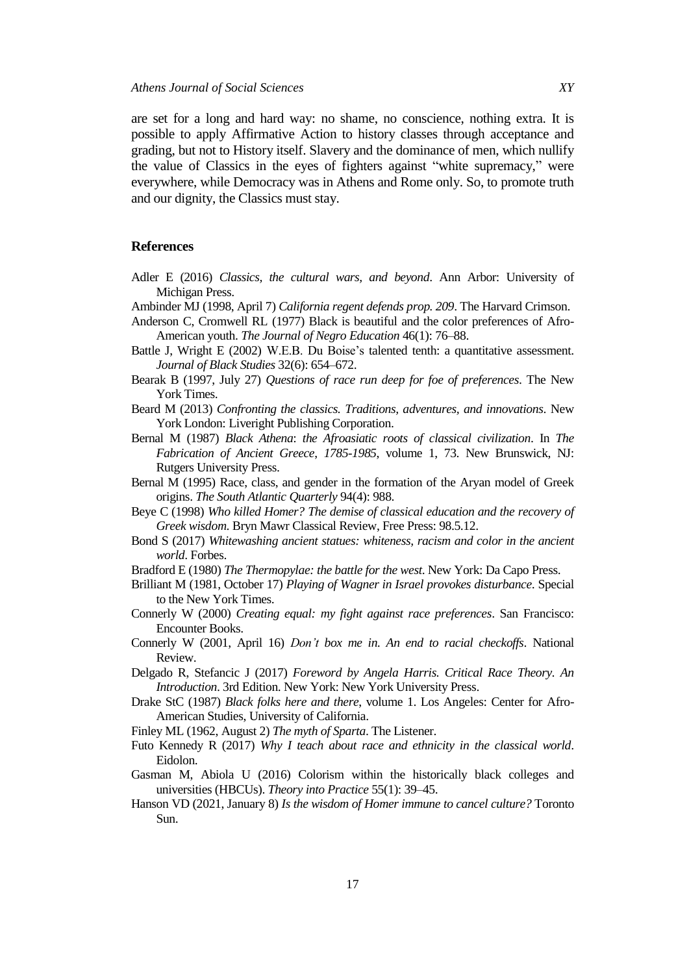are set for a long and hard way: no shame, no conscience, nothing extra. It is possible to apply Affirmative Action to history classes through acceptance and grading, but not to History itself. Slavery and the dominance of men, which nullify the value of Classics in the eyes of fighters against "white supremacy," were everywhere, while Democracy was in Athens and Rome only. So, to promote truth and our dignity, the Classics must stay.

#### **References**

- Adler E (2016) *Classics, the cultural wars, and beyond*. Ann Arbor: University of Michigan Press.
- Ambinder MJ (1998, April 7) *California regent defends prop. 209*. The Harvard Crimson.
- Anderson C, Cromwell RL (1977) Black is beautiful and the color preferences of Afro-American youth. *The Journal of Negro Education* 46(1): 76–88.
- Battle J, Wright E (2002) [W.E.B. Du Boise's talented tenth: a quantitative assessment.](https://www.jstor.org/stable/3180968) *Journal of Black Studies* 32(6): 654–672.
- Bearak B (1997, July 27) *Questions of race run deep for foe of preferences*. The New York Times.
- Beard M (2013) *Confronting the classics. Traditions, adventures, and innovations*. New York London: Liveright Publishing Corporation.
- Bernal M (1987) *Black Athena*: *the Afroasiatic roots of classical civilization*. In *The Fabrication of Ancient Greece*, *1785-1985*, volume 1, 73. New Brunswick, NJ: Rutgers University Press.
- Bernal M (1995) Race, class, and gender in the formation of the Aryan model of Greek origins. *The South Atlantic Quarterly* 94(4): 988.
- Beye C (1998) *Who killed Homer? The demise of classical education and the recovery of Greek wisdom*. Bryn Mawr Classical Review, Free Press: 98.5.12.
- Bond S (2017) *Whitewashing ancient statues: whiteness, racism and color in the ancient world*. Forbes.
- Bradford E (1980) *The Thermopylae: the battle for the west*. New York: Da Capo Press.
- Brilliant M (1981, October 17) *Playing of Wagner in Israel provokes disturbance*. Special to the New York Times.
- Connerly W (2000) *Creating equal: my fight against race preferences*. San Francisco: Encounter Books.
- Connerly W (2001, April 16) *Don't box me in. An end to racial checkoffs*. National Review.
- Delgado R, Stefancic J (2017) *Foreword by Angela Harris. Critical Race Theory. An Introduction*. 3rd Edition. New York: New York University Press.
- Drake StC (1987) *Black folks here and there*, volume 1. Los Angeles: Center for Afro-American Studies, University of California.
- Finley ML (1962, August 2) *The myth of Sparta*. The Listener.
- Futo Kennedy R (2017) *Why I teach about race and ethnicity in the classical world*. Eidolon.
- Gasman M, Abiola U (2016) Colorism within the historically black colleges and universities (HBCUs). *Theory into Practice* 55(1): 39–45.
- Hanson VD (2021, January 8) *Is the wisdom of Homer immune to cancel culture?* Toronto Sun.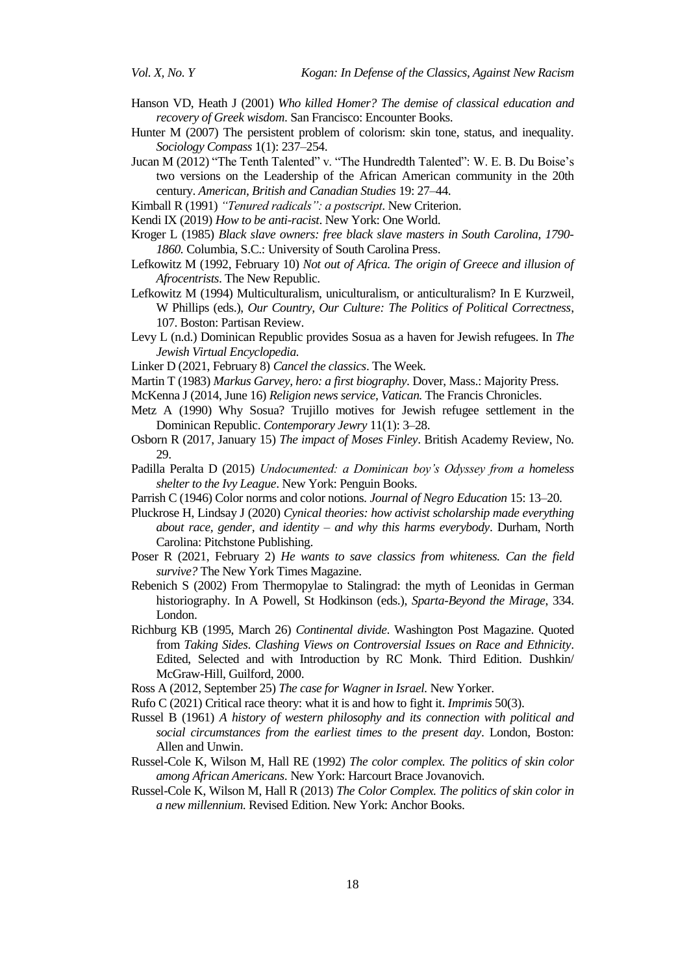- Hanson VD, Heath J (2001) *Who killed Homer? The demise of classical education and recovery of Greek wisdom*. San Francisco: Encounter Books.
- Hunter M (2007) The persistent problem of colorism: skin tone, status, and inequality. *Sociology Compass* 1(1): 237–254.
- Jucan M (2012) "The Tenth Talented" v. "The Hundredth Talented": W. E. B. Du Boise's two versions on the Leadership of the African American community in the 20th century. *American, British and Canadian Studies* 19: 27–44.
- Kimball R (1991) *"Tenured radicals": a postscript*. New Criterion.
- Kendi IX (2019) *How to be anti-racist*. New York: One World.
- Kroger L (1985) *Black slave owners: free black slave masters in South Carolina, 1790- 1860.* Columbia, S.C.: University of South Carolina Press.
- Lefkowitz M (1992, February 10) *Not out of Africa. The origin of Greece and illusion of Afrocentrists*. The New Republic.
- Lefkowitz M (1994) Multiculturalism, uniculturalism, or anticulturalism? In E Kurzweil, W Phillips (eds.), *Our Country, Our Culture: The Politics of Political Correctness*, 107. Boston: Partisan Review.
- Levy L (n.d.) Dominican Republic provides Sosua as a haven for Jewish refugees. In *The Jewish Virtual Encyclopedia.*
- Linker D (2021, February 8) *Cancel the classics*. The Week.
- Martin T (1983) *Markus Garvey, hero: a first biography*. Dover, Mass.: Majority Press.
- [McKenna](https://www.ncronline.org/authors/josephine-mckenna) J (2014, June 16) *[Religion news service,](https://www.ncronline.org/authors/religion-news-service) [Vatican.](https://www.ncronline.org/channel/vatican)* The Francis Chronicles.
- Metz A (1990) Why Sosua? Trujillo motives for Jewish refugee settlement in the Dominican Republic. *Contemporary Jewry* 11(1): 3–28.
- Osborn R (2017, January 15) *The impact of Moses Finley*. British Academy Review, No. 29.
- Padilla Peralta D (2015) *Undocumented: a Dominican boy's Odyssey from a homeless shelter to the Ivy League*. New York: Penguin Books.
- Parrish C (1946) Color norms and color notions*. Journal of Negro Education* 15: 13–20.
- Pluckrose H, Lindsay J (2020) *Cynical theories: how activist scholarship made everything about race, gender, and identity* – *and why this harms everybody*. Durham, North Carolina: Pitchstone Publishing.
- Poser R (2021, February 2) *He wants to save classics from whiteness. Can the field survive?* The New York Times Magazine.
- Rebenich S (2002) From Thermopylae to Stalingrad: the myth of Leonidas in German historiography. In A Powell, St Hodkinson (eds.), *Sparta-Beyond the Mirage*, 334. London.
- Richburg KB (1995, March 26) *Continental divide*. Washington Post Magazine. Quoted from *Taking Sides*. *Clashing Views on Controversial Issues on Race and Ethnicity*. Edited, Selected and with Introduction by RC Monk. Third Edition. Dushkin/ McGraw-Hill, Guilford, 2000.
- [Ross](https://www.newyorker.com/contributors/alex-ross) A (2012, September 25) *The case for Wagner in Israel.* New Yorker.
- Rufo C (2021) Critical race theory: what it is and how to fight it. *Imprimis* 50(3).
- Russel B (1961) *A history of western philosophy and its connection with political and social circumstances from the earliest times to the present day*. London, Boston: Allen and Unwin.
- Russel-Cole K, Wilson M, Hall RE (1992) *The color complex. The politics of skin color among African Americans*. New York: Harcourt Brace Jovanovich.
- Russel-Cole K, Wilson M, Hall R (2013) *The Color Complex. The politics of skin color in a new millennium*. Revised Edition. New York: Anchor Books.